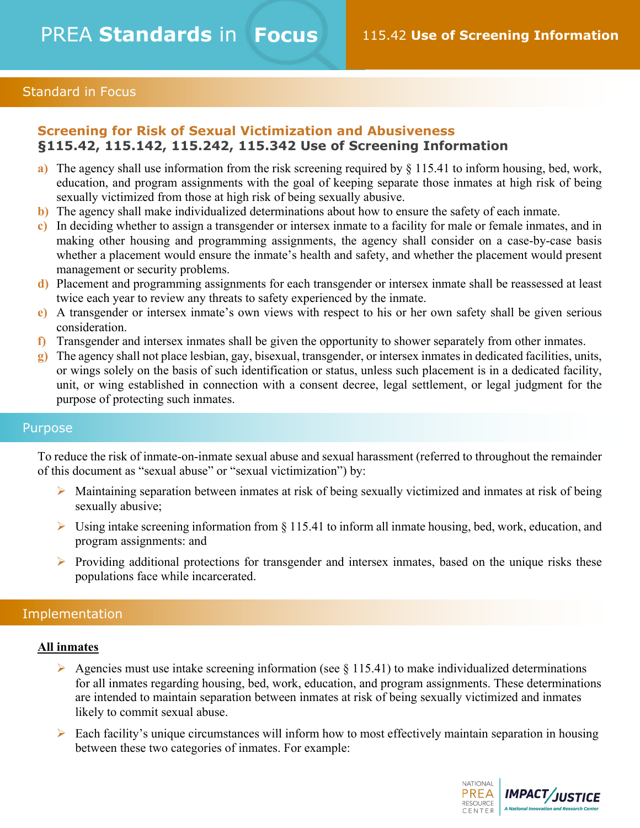# Standard in Focus

# **Screening for Risk of Sexual Victimization and Abusiveness §115.42, 115.142, 115.242, 115.342 Use of Screening Information**

- **a)** The agency shall use information from the risk screening required by § 115.41 to inform housing, bed, work, education, and program assignments with the goal of keeping separate those inmates at high risk of being sexually victimized from those at high risk of being sexually abusive.
- **b)** The agency shall make individualized determinations about how to ensure the safety of each inmate.
- **c)** In deciding whether to assign a transgender or intersex inmate to a facility for male or female inmates, and in making other housing and programming assignments, the agency shall consider on a case-by-case basis whether a placement would ensure the inmate's health and safety, and whether the placement would present management or security problems.
- **d)** Placement and programming assignments for each transgender or intersex inmate shall be reassessed at least twice each year to review any threats to safety experienced by the inmate.
- **e)** A transgender or intersex inmate's own views with respect to his or her own safety shall be given serious consideration.
- **f)** Transgender and intersex inmates shall be given the opportunity to shower separately from other inmates.
- **g)** The agency shall not place lesbian, gay, bisexual, transgender, or intersex inmates in dedicated facilities, units, or wings solely on the basis of such identification or status, unless such placement is in a dedicated facility, unit, or wing established in connection with a consent decree, legal settlement, or legal judgment for the purpose of protecting such inmates.

### Purpose

To reduce the risk of inmate-on-inmate sexual abuse and sexual harassment (referred to throughout the remainder of this document as "sexual abuse" or "sexual victimization") by:

- $\triangleright$  Maintaining separation between inmates at risk of being sexually victimized and inmates at risk of being sexually abusive;
- $\triangleright$  Using intake screening information from § 115.41 to inform all inmate housing, bed, work, education, and program assignments: and
- $\triangleright$  Providing additional protections for transgender and intersex inmates, based on the unique risks these populations face while incarcerated.

### Implementation

### **All inmates**

- Agencies must use intake screening information (see  $\S$  115.41) to make individualized determinations for all inmates regarding housing, bed, work, education, and program assignments. These determinations are intended to maintain separation between inmates at risk of being sexually victimized and inmates likely to commit sexual abuse.
- $\triangleright$  Each facility's unique circumstances will inform how to most effectively maintain separation in housing between these two categories of inmates. For example:

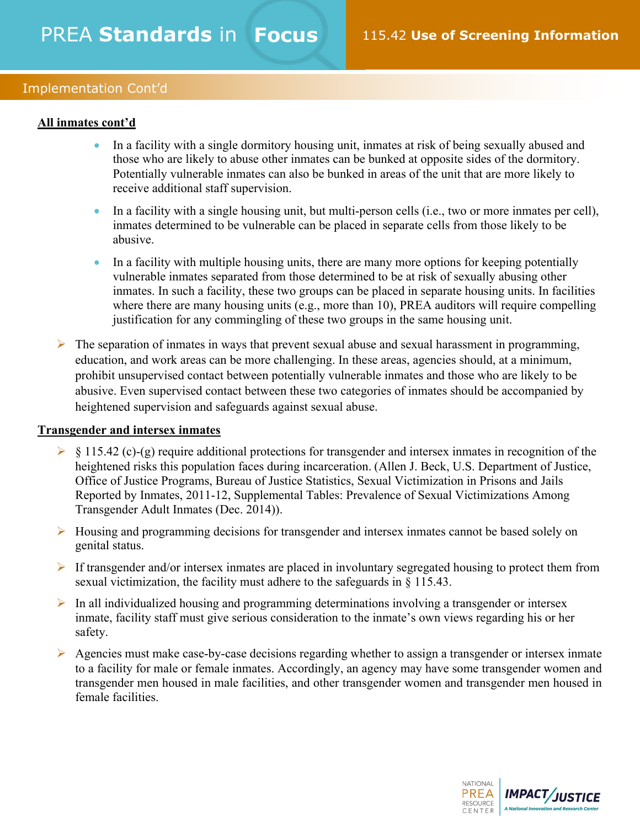# Implementation Cont'd

## **All inmates cont'd**

- In a facility with a single dormitory housing unit, inmates at risk of being sexually abused and those who are likely to abuse other inmates can be bunked at opposite sides of the dormitory. Potentially vulnerable inmates can also be bunked in areas of the unit that are more likely to receive additional staff supervision.
- In a facility with a single housing unit, but multi-person cells (i.e., two or more inmates per cell), inmates determined to be vulnerable can be placed in separate cells from those likely to be abusive.
- In a facility with multiple housing units, there are many more options for keeping potentially vulnerable inmates separated from those determined to be at risk of sexually abusing other inmates. In such a facility, these two groups can be placed in separate housing units. In facilities where there are many housing units (e.g., more than 10), PREA auditors will require compelling justification for any commingling of these two groups in the same housing unit.
- $\triangleright$  The separation of inmates in ways that prevent sexual abuse and sexual harassment in programming, education, and work areas can be more challenging. In these areas, agencies should, at a minimum, prohibit unsupervised contact between potentially vulnerable inmates and those who are likely to be abusive. Even supervised contact between these two categories of inmates should be accompanied by heightened supervision and safeguards against sexual abuse.

### **Transgender and intersex inmates**

- $\triangleright$  § 115.42 (c)-(g) require additional protections for transgender and intersex inmates in recognition of the heightened risks this population faces during incarceration. (Allen J. Beck, U.S. Department of Justice, Office of Justice Programs, Bureau of Justice Statistics, Sexual Victimization in Prisons and Jails Reported by Inmates, 2011-12, Supplemental Tables: Prevalence of Sexual Victimizations Among Transgender Adult Inmates (Dec. 2014)).
- $\triangleright$  Housing and programming decisions for transgender and intersex inmates cannot be based solely on genital status.
- $\triangleright$  If transgender and/or intersex inmates are placed in involuntary segregated housing to protect them from sexual victimization, the facility must adhere to the safeguards in § 115.43.
- $\triangleright$  In all individualized housing and programming determinations involving a transgender or intersex inmate, facility staff must give serious consideration to the inmate's own views regarding his or her safety.
- $\triangleright$  Agencies must make case-by-case decisions regarding whether to assign a transgender or intersex inmate to a facility for male or female inmates. Accordingly, an agency may have some transgender women and transgender men housed in male facilities, and other transgender women and transgender men housed in female facilities.

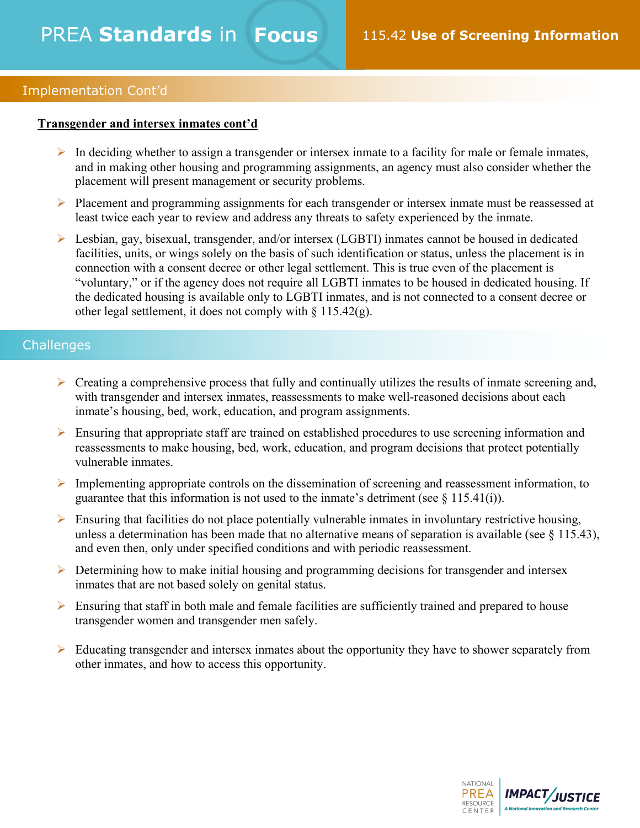## Implementation Cont'd

## **Transgender and intersex inmates cont'd**

- $\triangleright$  In deciding whether to assign a transgender or intersex inmate to a facility for male or female inmates, and in making other housing and programming assignments, an agency must also consider whether the placement will present management or security problems.
- Ø Placement and programming assignments for each transgender or intersex inmate must be reassessed at least twice each year to review and address any threats to safety experienced by the inmate.
- Ø Lesbian, gay, bisexual, transgender, and/or intersex (LGBTI) inmates cannot be housed in dedicated facilities, units, or wings solely on the basis of such identification or status, unless the placement is in connection with a consent decree or other legal settlement. This is true even of the placement is "voluntary," or if the agency does not require all LGBTI inmates to be housed in dedicated housing. If the dedicated housing is available only to LGBTI inmates, and is not connected to a consent decree or other legal settlement, it does not comply with  $\S 115.42(g)$ .

# **Challenges**

- $\triangleright$  Creating a comprehensive process that fully and continually utilizes the results of inmate screening and, with transgender and intersex inmates, reassessments to make well-reasoned decisions about each inmate's housing, bed, work, education, and program assignments.
- $\triangleright$  Ensuring that appropriate staff are trained on established procedures to use screening information and reassessments to make housing, bed, work, education, and program decisions that protect potentially vulnerable inmates.
- $\triangleright$  Implementing appropriate controls on the dissemination of screening and reassessment information, to guarantee that this information is not used to the inmate's detriment (see  $\S$  115.41(i)).
- $\triangleright$  Ensuring that facilities do not place potentially vulnerable inmates in involuntary restrictive housing, unless a determination has been made that no alternative means of separation is available (see § 115.43), and even then, only under specified conditions and with periodic reassessment.
- $\triangleright$  Determining how to make initial housing and programming decisions for transgender and intersex inmates that are not based solely on genital status.
- $\triangleright$  Ensuring that staff in both male and female facilities are sufficiently trained and prepared to house transgender women and transgender men safely.
- $\triangleright$  Educating transgender and intersex inmates about the opportunity they have to shower separately from other inmates, and how to access this opportunity.

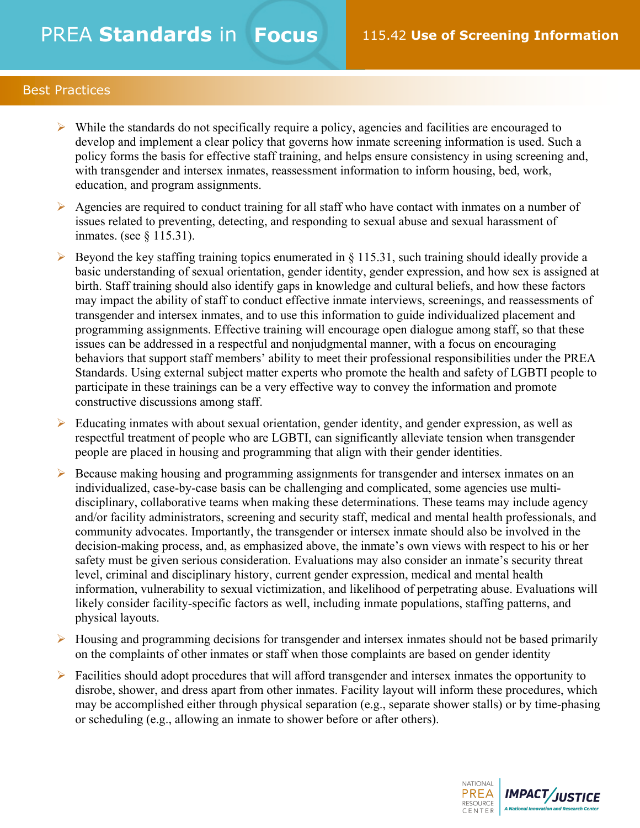# PREA **Standards** in **Focus** 115.42 **Use of Screening Information**

# Best Practices

- $\triangleright$  While the standards do not specifically require a policy, agencies and facilities are encouraged to develop and implement a clear policy that governs how inmate screening information is used. Such a policy forms the basis for effective staff training, and helps ensure consistency in using screening and, with transgender and intersex inmates, reassessment information to inform housing, bed, work, education, and program assignments.
- $\triangleright$  Agencies are required to conduct training for all staff who have contact with inmates on a number of issues related to preventing, detecting, and responding to sexual abuse and sexual harassment of inmates. (see § 115.31).
- $\triangleright$  Beyond the key staffing training topics enumerated in § 115.31, such training should ideally provide a basic understanding of sexual orientation, gender identity, gender expression, and how sex is assigned at birth. Staff training should also identify gaps in knowledge and cultural beliefs, and how these factors may impact the ability of staff to conduct effective inmate interviews, screenings, and reassessments of transgender and intersex inmates, and to use this information to guide individualized placement and programming assignments. Effective training will encourage open dialogue among staff, so that these issues can be addressed in a respectful and nonjudgmental manner, with a focus on encouraging behaviors that support staff members' ability to meet their professional responsibilities under the PREA Standards. Using external subject matter experts who promote the health and safety of LGBTI people to participate in these trainings can be a very effective way to convey the information and promote constructive discussions among staff.
- $\triangleright$  Educating inmates with about sexual orientation, gender identity, and gender expression, as well as respectful treatment of people who are LGBTI, can significantly alleviate tension when transgender people are placed in housing and programming that align with their gender identities.
- $\triangleright$  Because making housing and programming assignments for transgender and intersex inmates on an individualized, case-by-case basis can be challenging and complicated, some agencies use multidisciplinary, collaborative teams when making these determinations. These teams may include agency and/or facility administrators, screening and security staff, medical and mental health professionals, and community advocates. Importantly, the transgender or intersex inmate should also be involved in the decision-making process, and, as emphasized above, the inmate's own views with respect to his or her safety must be given serious consideration. Evaluations may also consider an inmate's security threat level, criminal and disciplinary history, current gender expression, medical and mental health information, vulnerability to sexual victimization, and likelihood of perpetrating abuse. Evaluations will likely consider facility-specific factors as well, including inmate populations, staffing patterns, and physical layouts.
- $\triangleright$  Housing and programming decisions for transgender and intersex inmates should not be based primarily on the complaints of other inmates or staff when those complaints are based on gender identity
- $\triangleright$  Facilities should adopt procedures that will afford transgender and intersex inmates the opportunity to disrobe, shower, and dress apart from other inmates. Facility layout will inform these procedures, which may be accomplished either through physical separation (e.g., separate shower stalls) or by time-phasing or scheduling (e.g., allowing an inmate to shower before or after others).

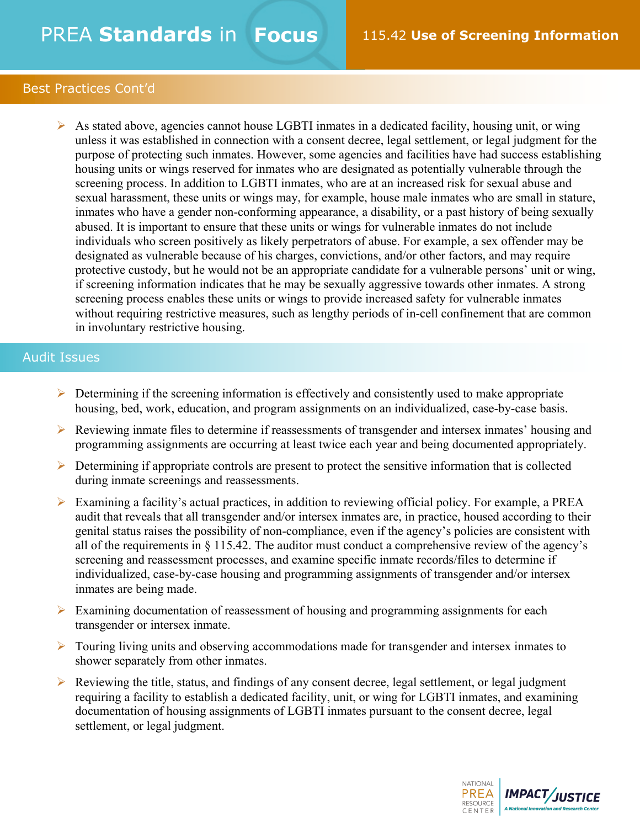# PREA **Standards** in **Focus** 115.42 **Use of Screening Information**

# Best Practices Cont'd

 $\triangleright$  As stated above, agencies cannot house LGBTI inmates in a dedicated facility, housing unit, or wing unless it was established in connection with a consent decree, legal settlement, or legal judgment for the purpose of protecting such inmates. However, some agencies and facilities have had success establishing housing units or wings reserved for inmates who are designated as potentially vulnerable through the screening process. In addition to LGBTI inmates, who are at an increased risk for sexual abuse and sexual harassment, these units or wings may, for example, house male inmates who are small in stature, inmates who have a gender non-conforming appearance, a disability, or a past history of being sexually abused. It is important to ensure that these units or wings for vulnerable inmates do not include individuals who screen positively as likely perpetrators of abuse. For example, a sex offender may be designated as vulnerable because of his charges, convictions, and/or other factors, and may require protective custody, but he would not be an appropriate candidate for a vulnerable persons' unit or wing, if screening information indicates that he may be sexually aggressive towards other inmates. A strong screening process enables these units or wings to provide increased safety for vulnerable inmates without requiring restrictive measures, such as lengthy periods of in-cell confinement that are common in involuntary restrictive housing.

# Audit Issues

- $\triangleright$  Determining if the screening information is effectively and consistently used to make appropriate housing, bed, work, education, and program assignments on an individualized, case-by-case basis.
- Ø Reviewing inmate files to determine if reassessments of transgender and intersex inmates' housing and programming assignments are occurring at least twice each year and being documented appropriately.
- $\triangleright$  Determining if appropriate controls are present to protect the sensitive information that is collected during inmate screenings and reassessments.
- $\triangleright$  Examining a facility's actual practices, in addition to reviewing official policy. For example, a PREA audit that reveals that all transgender and/or intersex inmates are, in practice, housed according to their genital status raises the possibility of non-compliance, even if the agency's policies are consistent with all of the requirements in § 115.42. The auditor must conduct a comprehensive review of the agency's screening and reassessment processes, and examine specific inmate records/files to determine if individualized, case-by-case housing and programming assignments of transgender and/or intersex inmates are being made.
- $\triangleright$  Examining documentation of reassessment of housing and programming assignments for each transgender or intersex inmate.
- $\triangleright$  Touring living units and observing accommodations made for transgender and intersex inmates to shower separately from other inmates.
- $\triangleright$  Reviewing the title, status, and findings of any consent decree, legal settlement, or legal judgment requiring a facility to establish a dedicated facility, unit, or wing for LGBTI inmates, and examining documentation of housing assignments of LGBTI inmates pursuant to the consent decree, legal settlement, or legal judgment.

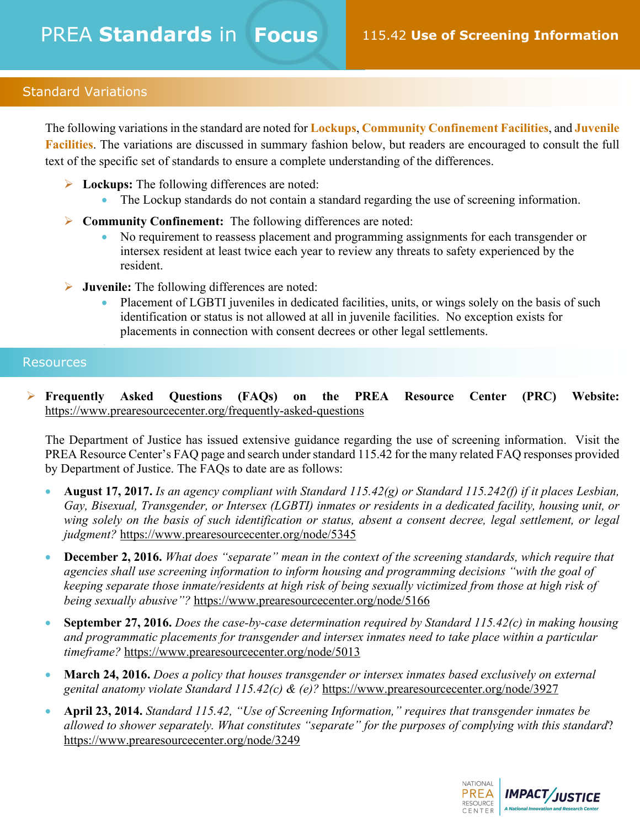# Standard Variations

The following variations in the standard are noted for **Lockups**, **Community Confinement Facilities**, and **Juvenile Facilities**. The variations are discussed in summary fashion below, but readers are encouraged to consult the full text of the specific set of standards to ensure a complete understanding of the differences.

- Ø **Lockups:** The following differences are noted:
	- The Lockup standards do not contain a standard regarding the use of screening information.
- Ø **Community Confinement:** The following differences are noted:
	- No requirement to reassess placement and programming assignments for each transgender or intersex resident at least twice each year to review any threats to safety experienced by the resident.
- Ø **Juvenile:** The following differences are noted:
	- Placement of LGBTI juveniles in dedicated facilities, units, or wings solely on the basis of such identification or status is not allowed at all in juvenile facilities. No exception exists for placements in connection with consent decrees or other legal settlements.

# **Resources**

•

Ø **Frequently Asked Questions (FAQs) on the PREA Resource Center (PRC) Website:**  https://www.prearesourcecenter.org/frequently-asked-questions

The Department of Justice has issued extensive guidance regarding the use of screening information. Visit the PREA Resource Center's FAQ page and search under standard 115.42 for the many related FAQ responses provided by Department of Justice. The FAQs to date are as follows:

- **August 17, 2017.** *Is an agency compliant with Standard 115.42(g) or Standard 115.242(f) if it places Lesbian, Gay, Bisexual, Transgender, or Intersex (LGBTI) inmates or residents in a dedicated facility, housing unit, or*  wing solely on the basis of such identification or status, absent a consent decree, legal settlement, or legal *judgment?* https://www.prearesourcecenter.org/node/5345
- **December 2, 2016.** *What does "separate" mean in the context of the screening standards, which require that agencies shall use screening information to inform housing and programming decisions "with the goal of keeping separate those inmate/residents at high risk of being sexually victimized from those at high risk of being sexually abusive"?* https://www.prearesourcecenter.org/node/5166
- **September 27, 2016.** *Does the case-by-case determination required by Standard 115.42(c) in making housing and programmatic placements for transgender and intersex inmates need to take place within a particular timeframe?* https://www.prearesourcecenter.org/node/5013
- **March 24, 2016.** *Does a policy that houses transgender or intersex inmates based exclusively on external genital anatomy violate Standard 115.42(c) & (e)?* https://www.prearesourcecenter.org/node/3927
- **April 23, 2014.** *Standard 115.42, "Use of Screening Information," requires that transgender inmates be allowed to shower separately. What constitutes "separate" for the purposes of complying with this standard*? https://www.prearesourcecenter.org/node/3249